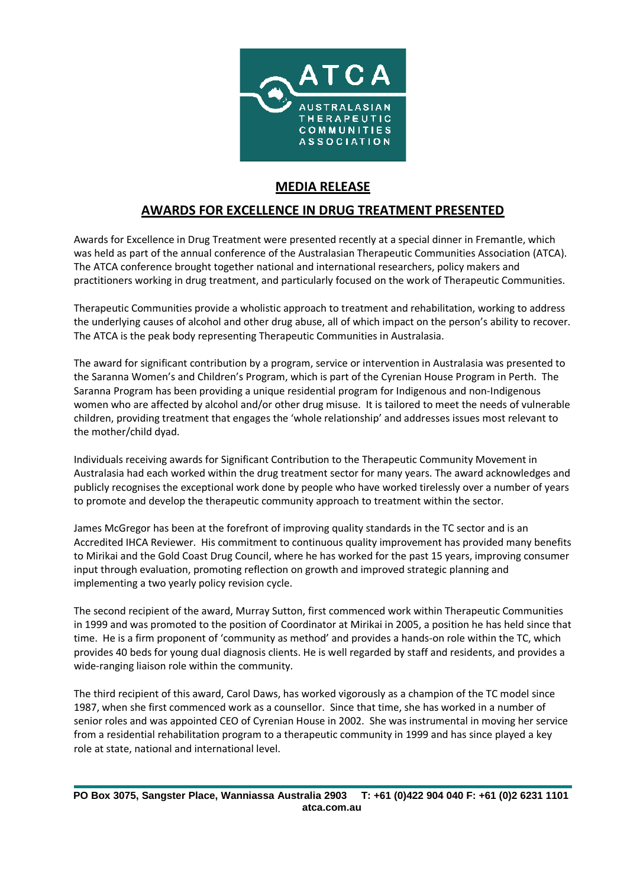

## **MEDIA RELEASE**

## **AWARDS FOR EXCELLENCE IN DRUG TREATMENT PRESENTED**

Awards for Excellence in Drug Treatment were presented recently at a special dinner in Fremantle, which was held as part of the annual conference of the Australasian Therapeutic Communities Association (ATCA). The ATCA conference brought together national and international researchers, policy makers and practitioners working in drug treatment, and particularly focused on the work of Therapeutic Communities.

Therapeutic Communities provide a wholistic approach to treatment and rehabilitation, working to address the underlying causes of alcohol and other drug abuse, all of which impact on the person's ability to recover. The ATCA is the peak body representing Therapeutic Communities in Australasia.

The award for significant contribution by a program, service or intervention in Australasia was presented to the Saranna Women's and Children's Program, which is part of the Cyrenian House Program in Perth. The Saranna Program has been providing a unique residential program for Indigenous and non-Indigenous women who are affected by alcohol and/or other drug misuse. It is tailored to meet the needs of vulnerable children, providing treatment that engages the 'whole relationship' and addresses issues most relevant to the mother/child dyad.

Individuals receiving awards for Significant Contribution to the Therapeutic Community Movement in Australasia had each worked within the drug treatment sector for many years. The award acknowledges and publicly recognises the exceptional work done by people who have worked tirelessly over a number of years to promote and develop the therapeutic community approach to treatment within the sector.

James McGregor has been at the forefront of improving quality standards in the TC sector and is an Accredited IHCA Reviewer. His commitment to continuous quality improvement has provided many benefits to Mirikai and the Gold Coast Drug Council, where he has worked for the past 15 years, improving consumer input through evaluation, promoting reflection on growth and improved strategic planning and implementing a two yearly policy revision cycle.

The second recipient of the award, Murray Sutton, first commenced work within Therapeutic Communities in 1999 and was promoted to the position of Coordinator at Mirikai in 2005, a position he has held since that time. He is a firm proponent of 'community as method' and provides a hands-on role within the TC, which provides 40 beds for young dual diagnosis clients. He is well regarded by staff and residents, and provides a wide-ranging liaison role within the community.

The third recipient of this award, Carol Daws, has worked vigorously as a champion of the TC model since 1987, when she first commenced work as a counsellor. Since that time, she has worked in a number of senior roles and was appointed CEO of Cyrenian House in 2002. She was instrumental in moving her service from a residential rehabilitation program to a therapeutic community in 1999 and has since played a key role at state, national and international level.